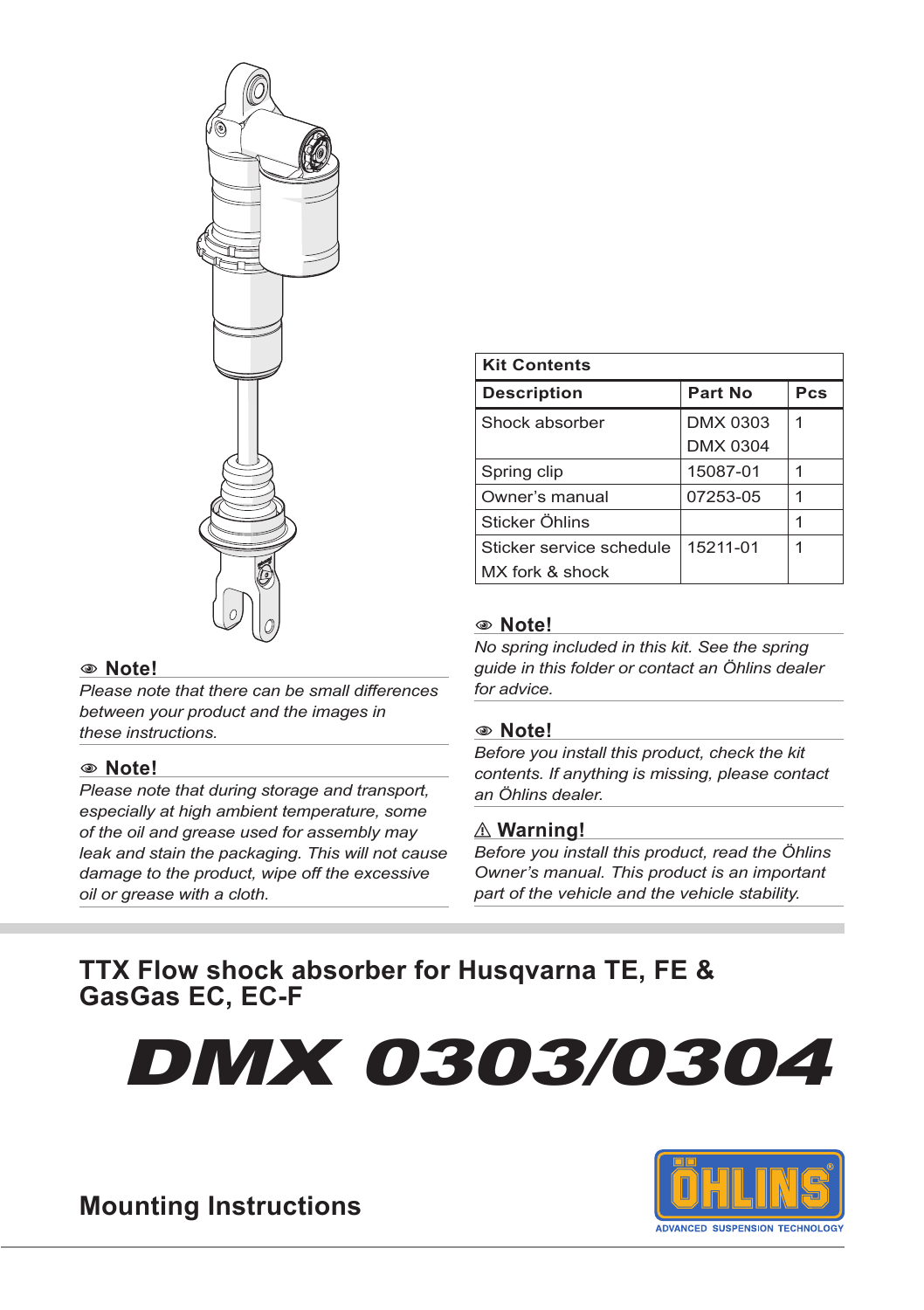

#### 1 **Note!**

*Please note that there can be small differences between your product and the images in these instructions.*

#### 1 **Note!**

*Please note that during storage and transport, especially at high ambient temperature, some of the oil and grease used for assembly may leak and stain the packaging. This will not cause damage to the product, wipe off the excessive oil or grease with a cloth.*

| <b>Kit Contents</b>      |          |     |  |
|--------------------------|----------|-----|--|
| <b>Description</b>       | Part No  | Pcs |  |
| Shock absorber           | DMX 0303 | 1   |  |
|                          | DMX 0304 |     |  |
| Spring clip              | 15087-01 | 1   |  |
| Owner's manual           | 07253-05 |     |  |
| Sticker Öhlins           |          | 1   |  |
| Sticker service schedule | 15211-01 | 1   |  |
| MX fork & shock          |          |     |  |

#### 1 **Note!**

*No spring included in this kit. See the spring guide in this folder or contact an Öhlins dealer for advice.*

#### 1 **Note!**

*Before you install this product, check the kit contents. If anything is missing, please contact an Öhlins dealer.*

### ⚠ **Warning!**

*Before you install this product, read the Öhlins Owner's manual. This product is an important part of the vehicle and the vehicle stability.*

# **TTX Flow shock absorber for Husqvarna TE, FE & GasGas EC, EC-F**

DMX 0303/0304



**Mounting Instructions**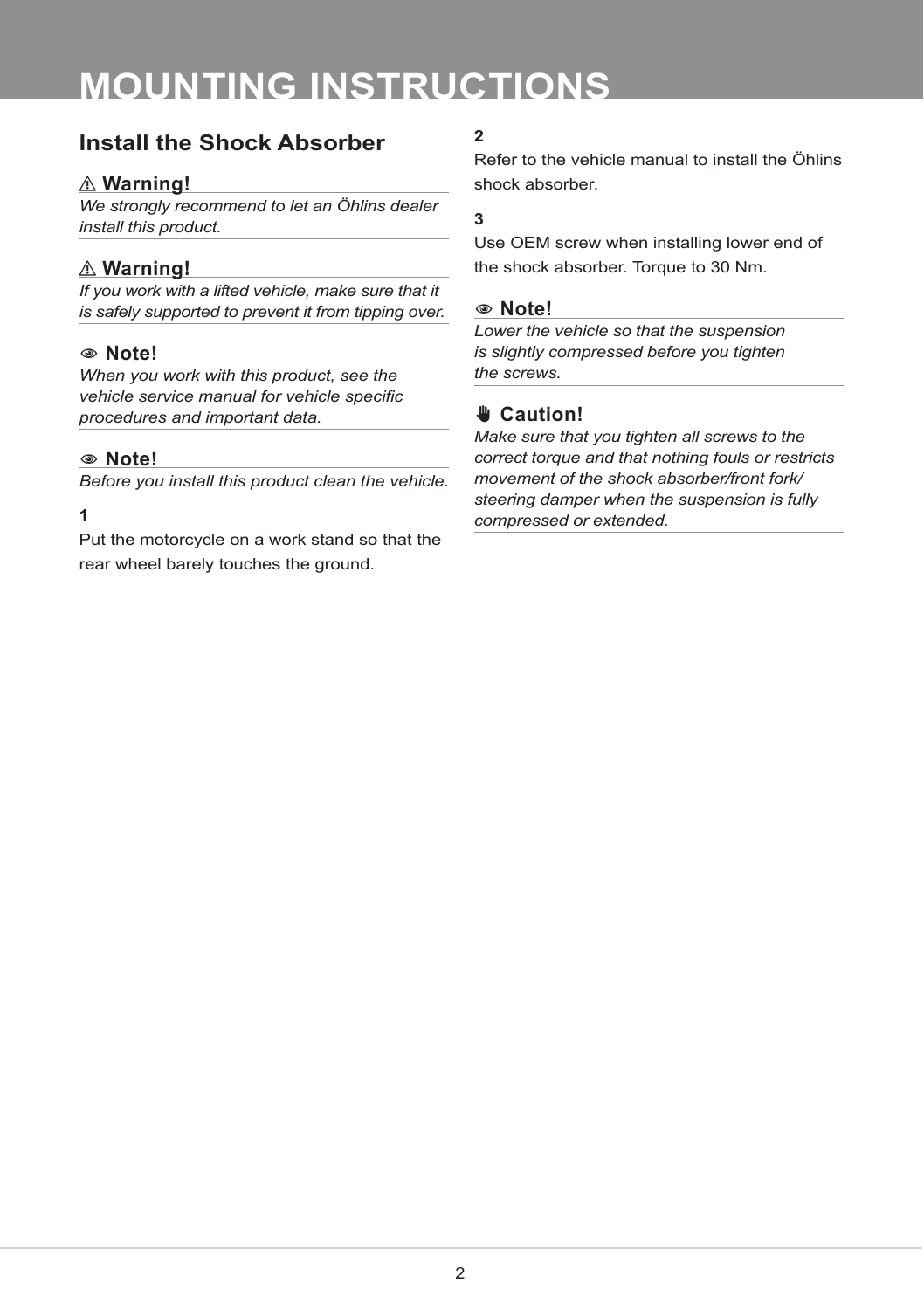# **MOUNTING INSTRUCTIONS**

# **Install the Shock Absorber**

## ⚠ **Warning!**

*We strongly recommend to let an Öhlins dealer install this product.*

## ⚠ **Warning!**

*If you work with a lifted vehicle, make sure that it is safely supported to prevent it from tipping over.*

### 1 **Note!**

*When you work with this product, see the vehicle service manual for vehicle specific procedures and important data.*

### 1 **Note!**

*Before you install this product clean the vehicle.*

#### **1**

Put the motorcycle on a work stand so that the rear wheel barely touches the ground.

## **2**

Refer to the vehicle manual to install the Öhlins shock absorber.

#### **3**

Use OEM screw when installing lower end of the shock absorber. Torque to 30 Nm.

#### 1 **Note!**

*Lower the vehicle so that the suspension is slightly compressed before you tighten the screws.*

## ✋ **Caution!**

*Make sure that you tighten all screws to the correct torque and that nothing fouls or restricts movement of the shock absorber/front fork/ steering damper when the suspension is fully compressed or extended.*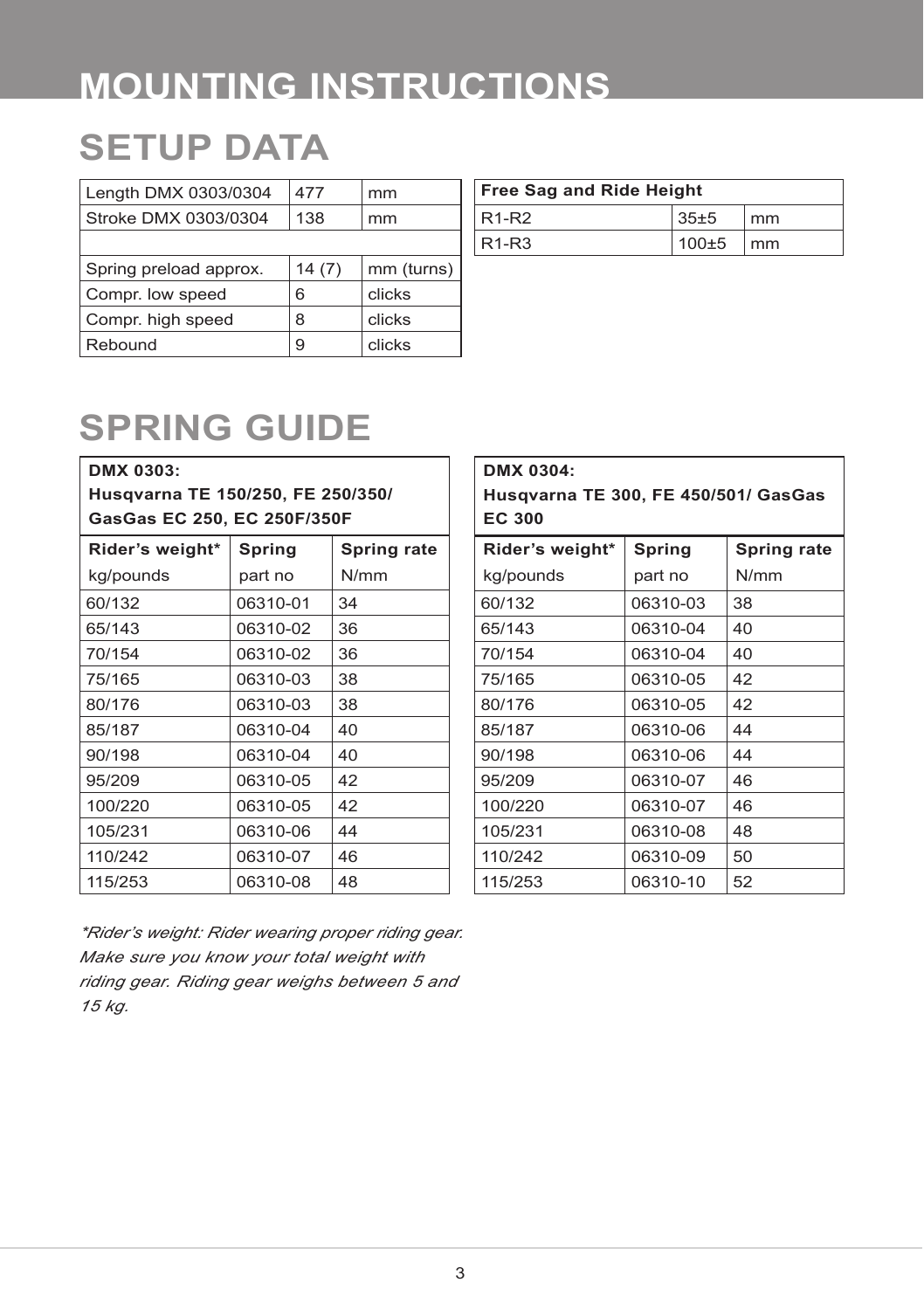# **MOUNTING INSTRUCTIONS**

# **SETUP DATA**

| Length DMX 0303/0304   | 477   | mm         |
|------------------------|-------|------------|
| Stroke DMX 0303/0304   | 138   | mm         |
|                        |       |            |
| Spring preload approx. | 14(7) | mm (turns) |
| Compr. low speed       | 6     | clicks     |
| Compr. high speed      | 8     | clicks     |
| Rebound                | 9     | clicks     |

| <b>Free Sag and Ride Height</b> |            |                        |  |
|---------------------------------|------------|------------------------|--|
| $R1-R2$                         | $35+5$     | $\mathsf{m}\mathsf{m}$ |  |
| $R1-R3$                         | $100\pm 5$ | $\mathsf{m}\mathsf{m}$ |  |

# **SPRING GUIDE**

| <b>DMX 0303:</b>                  |          |             |  |  |
|-----------------------------------|----------|-------------|--|--|
| Husgvarna TE 150/250, FE 250/350/ |          |             |  |  |
| GasGas EC 250, EC 250F/350F       |          |             |  |  |
| Rider's weight*                   | Spring   | Spring rate |  |  |
| kg/pounds                         | part no  | N/mm        |  |  |
| 60/132                            | 06310-01 | 34          |  |  |
| 65/143                            | 06310-02 | 36          |  |  |
| 70/154                            | 06310-02 | 36          |  |  |
| 75/165                            | 06310-03 | 38          |  |  |
| 80/176                            | 06310-03 | 38          |  |  |
| 85/187                            | 06310-04 | 40          |  |  |
| 90/198                            | 06310-04 | 40          |  |  |
| 95/209                            | 06310-05 | 42          |  |  |
| 100/220                           | 06310-05 | 42          |  |  |
| 105/231                           | 06310-06 | 44          |  |  |
| 110/242                           | 06310-07 | 46          |  |  |
| 115/253                           | 06310-08 | 48          |  |  |

| DMX 0304:                            |          |             |  |  |
|--------------------------------------|----------|-------------|--|--|
| Husgvarna TE 300, FE 450/501/ GasGas |          |             |  |  |
| <b>EC 300</b>                        |          |             |  |  |
| Rider's weight*                      | Spring   | Spring rate |  |  |
| kg/pounds                            | part no  | N/mm        |  |  |
| 60/132                               | 06310-03 | 38          |  |  |
| 65/143                               | 06310-04 | 40          |  |  |
| 70/154                               | 06310-04 | 40          |  |  |
| 75/165                               | 06310-05 | 42          |  |  |
| 80/176                               | 06310-05 | 42          |  |  |
| 85/187                               | 06310-06 | 44          |  |  |
| 90/198                               | 06310-06 | 44          |  |  |
| 95/209                               | 06310-07 | 46          |  |  |
| 100/220                              | 06310-07 | 46          |  |  |
| 105/231                              | 06310-08 | 48          |  |  |
| 110/242                              | 06310-09 | 50          |  |  |
| 115/253                              | 06310-10 | 52          |  |  |

*\*Rider's weight: Rider wearing proper riding gear. Make sure you know your total weight with riding gear. Riding gear weighs between 5 and 15 kg.*